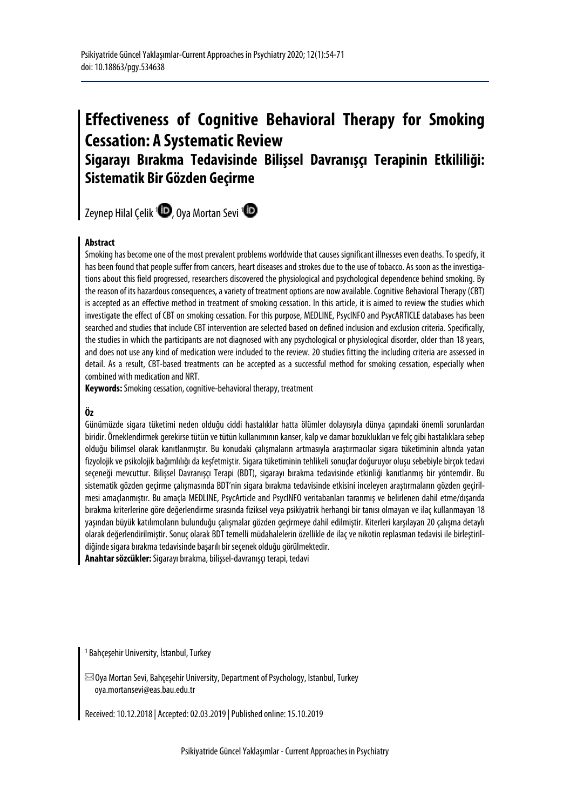# **Effectiveness of Cognitive Behavioral Therapy for Smoking Cessation: A Systematic Review**

# **Sigarayı Bırakma Tedavisinde Bilişsel Davranışçı Terapinin Etkililiği: Sistematik Bir Gözden Geçirme**

Zeynep Hilal Çelik <sup>[1](https://orcid.org/0000-0002-5517-5022)</sup> [,](https://orcid.org/0000-0001-8764-2126) Oya Mortan Sevi <sup>1</sup>

#### **Abstract**

Smoking has become one of the most prevalent problems worldwide that causes significant illnesses even deaths. To specify, it has been found that people suffer from cancers, heart diseases and strokes due to the use of tobacco. As soon as the investigations about this field progressed, researchers discovered the physiological and psychological dependence behind smoking. By the reason of its hazardous consequences, a variety of treatment options are now available. Cognitive Behavioral Therapy (CBT) is accepted as an effective method in treatment of smoking cessation. In this article, it is aimed to review the studies which investigate the effect of CBT on smoking cessation. For this purpose, MEDLINE, PsycINFO and PsycARTICLE databases has been searched and studies that include CBT intervention are selected based on defined inclusion and exclusion criteria. Specifically, the studies in which the participants are not diagnosed with any psychological or physiological disorder, older than 18 years, and does not use any kind of medication were included to the review. 20 studies fitting the including criteria are assessed in detail. As a result, CBT-based treatments can be accepted as a successful method for smoking cessation, especially when combined with medication and NRT.

**Keywords:**Smoking cessation, cognitive-behavioral therapy, treatment

#### **Öz**

Günümüzde sigara tüketimi neden olduğu ciddi hastalıklar hatta ölümler dolayısıyla dünya çapındaki önemli sorunlardan biridir. Örneklendirmek gerekirse tütün ve tütün kullanımının kanser, kalp ve damar bozuklukları ve felç gibi hastalıklara sebep olduğu bilimsel olarak kanıtlanmıştır. Bu konudaki çalışmaların artmasıyla araştırmacılar sigara tüketiminin altında yatan fizyolojik ve psikolojik bağımlılığı da keşfetmiştir. Sigara tüketiminin tehlikeli sonuçlar doğuruyor oluşu sebebiyle birçok tedavi seçeneği mevcuttur. Bilişsel Davranışçı Terapi (BDT), sigarayı bırakma tedavisinde etkinliği kanıtlanmış bir yöntemdir. Bu sistematik gözden geçirme çalışmasında BDT'nin sigara bırakma tedavisinde etkisini inceleyen araştırmaların gözden geçirilmesi amaçlanmıştır. Bu amaçla MEDLINE, PsycArticle and PsycINFO veritabanları taranmış ve belirlenen dahil etme/dışarıda bırakma kriterlerine göre değerlendirme sırasında fiziksel veya psikiyatrik herhangi bir tanısı olmayan ve ilaç kullanmayan 18 yaşından büyük katılımcıların bulunduğu çalışmalar gözden geçirmeye dahil edilmiştir. Kiterleri karşılayan 20 çalışma detaylı olarak değerlendirilmiştir. Sonuç olarak BDT temelli müdahalelerin özellikle de ilaç ve nikotin replasman tedavisi ile birleştirildiğinde sigara bırakma tedavisinde başarılı bir seçenek olduğu görülmektedir.

**Anahtar sözcükler:**Sigarayı bırakma, bilişsel-davranışçı terapi, tedavi

<sup>1</sup> Bahçeşehir University, İstanbul, Turkey

 $\boxtimes$ Oya Mortan Sevi, Bahçeşehir University, Department of Psychology, Istanbul, Turkey oya.mortansevi@eas.bau.edu.tr

Received: 10.12.2018 | Accepted: 02.03.2019 | Published online: 15.10.2019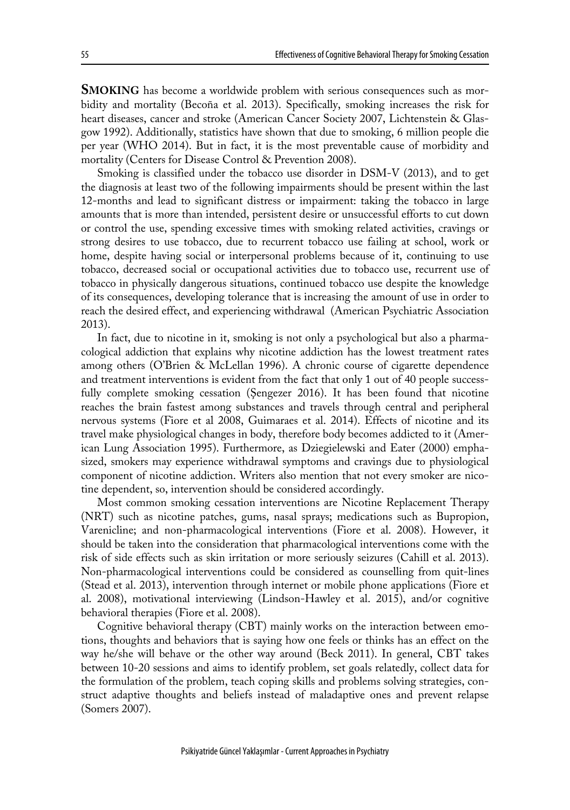**SMOKING** has become a worldwide problem with serious consequences such as morbidity and mortality (Becoña et al. 2013). Specifically, smoking increases the risk for heart diseases, cancer and stroke (American Cancer Society 2007, Lichtenstein & Glasgow 1992). Additionally, statistics have shown that due to smoking, 6 million people die per year (WHO 2014). But in fact, it is the most preventable cause of morbidity and mortality (Centers for Disease Control & Prevention 2008).

Smoking is classified under the tobacco use disorder in DSM-V (2013), and to get the diagnosis at least two of the following impairments should be present within the last 12-months and lead to significant distress or impairment: taking the tobacco in large amounts that is more than intended, persistent desire or unsuccessful efforts to cut down or control the use, spending excessive times with smoking related activities, cravings or strong desires to use tobacco, due to recurrent tobacco use failing at school, work or home, despite having social or interpersonal problems because of it, continuing to use tobacco, decreased social or occupational activities due to tobacco use, recurrent use of tobacco in physically dangerous situations, continued tobacco use despite the knowledge of its consequences, developing tolerance that is increasing the amount of use in order to reach the desired effect, and experiencing withdrawal (American Psychiatric Association 2013).

In fact, due to nicotine in it, smoking is not only a psychological but also a pharmacological addiction that explains why nicotine addiction has the lowest treatment rates among others (O'Brien & McLellan 1996). A chronic course of cigarette dependence and treatment interventions is evident from the fact that only 1 out of 40 people successfully complete smoking cessation (Şengezer 2016). It has been found that nicotine reaches the brain fastest among substances and travels through central and peripheral nervous systems (Fiore et al 2008, Guimaraes et al. 2014). Effects of nicotine and its travel make physiological changes in body, therefore body becomes addicted to it (American Lung Association 1995). Furthermore, as Dziegielewski and Eater (2000) emphasized, smokers may experience withdrawal symptoms and cravings due to physiological component of nicotine addiction. Writers also mention that not every smoker are nicotine dependent, so, intervention should be considered accordingly.

Most common smoking cessation interventions are Nicotine Replacement Therapy (NRT) such as nicotine patches, gums, nasal sprays; medications such as Bupropion, Varenicline; and non-pharmacological interventions (Fiore et al. 2008). However, it should be taken into the consideration that pharmacological interventions come with the risk of side effects such as skin irritation or more seriously seizures (Cahill et al. 2013). Non-pharmacological interventions could be considered as counselling from quit-lines (Stead et al. 2013), intervention through internet or mobile phone applications (Fiore et al. 2008), motivational interviewing (Lindson-Hawley et al. 2015), and/or cognitive behavioral therapies (Fiore et al. 2008).

Cognitive behavioral therapy (CBT) mainly works on the interaction between emotions, thoughts and behaviors that is saying how one feels or thinks has an effect on the way he/she will behave or the other way around (Beck 2011). In general, CBT takes between 10-20 sessions and aims to identify problem, set goals relatedly, collect data for the formulation of the problem, teach coping skills and problems solving strategies, construct adaptive thoughts and beliefs instead of maladaptive ones and prevent relapse (Somers 2007).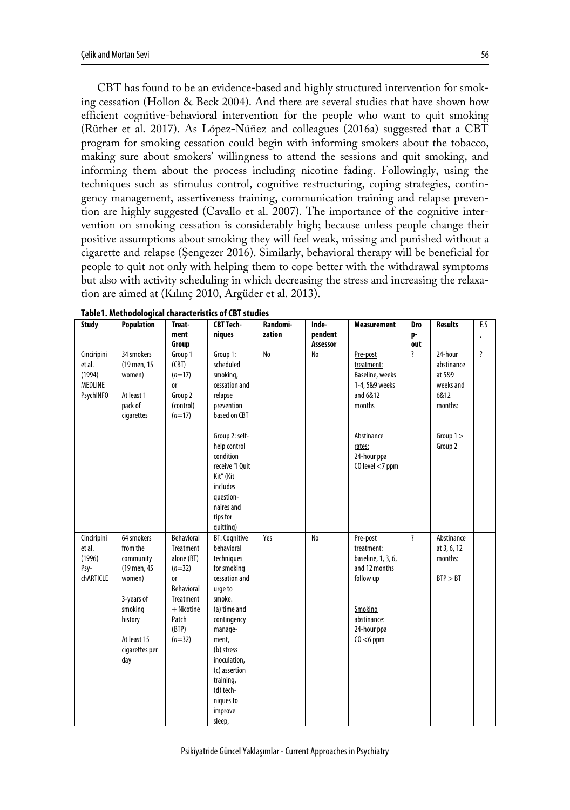CBT has found to be an evidence-based and highly structured intervention for smoking cessation (Hollon & Beck 2004). And there are several studies that have shown how efficient cognitive-behavioral intervention for the people who want to quit smoking (Rüther et al. 2017). As López-Núñez and colleagues (2016a) suggested that a CBT program for smoking cessation could begin with informing smokers about the tobacco, making sure about smokers' willingness to attend the sessions and quit smoking, and informing them about the process including nicotine fading. Followingly, using the techniques such as stimulus control, cognitive restructuring, coping strategies, contingency management, assertiveness training, communication training and relapse prevention are highly suggested (Cavallo et al. 2007). The importance of the cognitive intervention on smoking cessation is considerably high; because unless people change their positive assumptions about smoking they will feel weak, missing and punished without a cigarette and relapse (Şengezer 2016). Similarly, behavioral therapy will be beneficial for people to quit not only with helping them to cope better with the withdrawal symptoms but also with activity scheduling in which decreasing the stress and increasing the relaxation are aimed at (Kılınç 2010, Argüder et al. 2013).

| <b>Study</b>                                                   | <b>Population</b>                                                                                                                        | Treat-                                                                                                                                | <b>CBT Tech-</b>                                                                                                                                                                                                                                                    | Randomi- | Inde-    | <b>Measurement</b>                                                                                                                  | Dro                     | <b>Results</b>                                                  | E.S                |
|----------------------------------------------------------------|------------------------------------------------------------------------------------------------------------------------------------------|---------------------------------------------------------------------------------------------------------------------------------------|---------------------------------------------------------------------------------------------------------------------------------------------------------------------------------------------------------------------------------------------------------------------|----------|----------|-------------------------------------------------------------------------------------------------------------------------------------|-------------------------|-----------------------------------------------------------------|--------------------|
|                                                                |                                                                                                                                          | ment                                                                                                                                  | niques                                                                                                                                                                                                                                                              | zation   | pendent  |                                                                                                                                     | p-                      |                                                                 |                    |
|                                                                |                                                                                                                                          | Group                                                                                                                                 |                                                                                                                                                                                                                                                                     |          | Assessor |                                                                                                                                     | out                     |                                                                 |                    |
| Cinciripini<br>et al.<br>(1994)<br>MEDLINE<br><b>PsychINFO</b> | 34 smokers<br>(19 men, 15<br>women)<br>At least 1<br>pack of<br>cigarettes                                                               | Group 1<br>(CBT)<br>$(n=17)$<br><b>or</b><br>Group 2<br>(control)<br>$(n=17)$                                                         | Group 1:<br>scheduled<br>smoking,<br>cessation and<br>relapse<br>prevention<br>based on CBT                                                                                                                                                                         | No       | No       | Pre-post<br>treatment:<br>Baseline, weeks<br>1-4, 5&9 weeks<br>and 6&12<br>months                                                   | $\overline{\mathbf{?}}$ | 24-hour<br>abstinance<br>at 5&9<br>weeks and<br>6&12<br>months: | $\overline{\cdot}$ |
|                                                                |                                                                                                                                          |                                                                                                                                       | Group 2: self-<br>help control<br>condition<br>receive "I Ouit<br>Kit" (Kit<br>includes<br>question-<br>naires and<br>tips for<br>quitting)                                                                                                                         |          |          | Abstinance<br>rates:<br>24-hour ppa<br>$CO$ level $<$ 7 ppm                                                                         |                         | Group $1 >$<br>Group 2                                          |                    |
| Cinciripini<br>et al.<br>(1996)<br>Psy-<br>chARTICLE           | 64 smokers<br>from the<br>community<br>(19 men, 45<br>women)<br>3-years of<br>smoking<br>history<br>At least 15<br>cigarettes per<br>day | Behavioral<br>Treatment<br>alone (BT)<br>$(n=32)$<br><b>or</b><br>Behavioral<br>Treatment<br>+ Nicotine<br>Patch<br>(BTP)<br>$(n=32)$ | <b>BT: Cognitive</b><br>behavioral<br>techniques<br>for smoking<br>cessation and<br>urge to<br>smoke.<br>(a) time and<br>contingency<br>manage-<br>ment,<br>(b) stress<br>inoculation,<br>(c) assertion<br>training,<br>(d) tech-<br>niques to<br>improve<br>sleep, | Yes      | No       | Pre-post<br>treatment:<br>baseline, 1, 3, 6,<br>and 12 months<br>follow up<br>Smoking<br>abstinance:<br>24-hour ppa<br>$CO < 6$ ppm | $\overline{\mathbf{?}}$ | Abstinance<br>at 3, 6, 12<br>months:<br>BTP > BT                |                    |

**Table1. Methodological characteristics of CBT studies**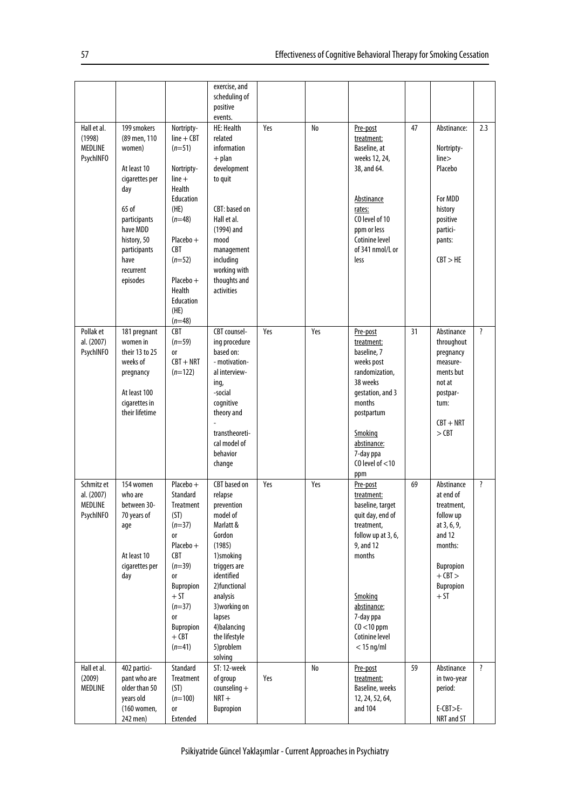|                                                         |                                                                                                                                                                                    |                                                                                                                                                                                                                     | exercise, and<br>scheduling of<br>positive<br>events.                                                                                                                                                                                                 |     |     |                                                                                                                                                                                                                     |    |                                                                                                                                                 |                         |
|---------------------------------------------------------|------------------------------------------------------------------------------------------------------------------------------------------------------------------------------------|---------------------------------------------------------------------------------------------------------------------------------------------------------------------------------------------------------------------|-------------------------------------------------------------------------------------------------------------------------------------------------------------------------------------------------------------------------------------------------------|-----|-----|---------------------------------------------------------------------------------------------------------------------------------------------------------------------------------------------------------------------|----|-------------------------------------------------------------------------------------------------------------------------------------------------|-------------------------|
| Hall et al.<br>(1998)<br>MEDLINE<br><b>PsychINFO</b>    | 199 smokers<br>(89 men, 110<br>women)<br>At least 10<br>cigarettes per<br>day<br>65 of<br>participants<br>have MDD<br>history, 50<br>participants<br>have<br>recurrent<br>episodes | Nortripty-<br>$line + CBT$<br>$(n=51)$<br>Nortripty-<br>$line +$<br><b>Health</b><br>Education<br>(HE)<br>$(n=48)$<br>$Placebo +$<br><b>CBT</b><br>$(n=52)$<br>Placebo +<br>Health<br>Education<br>(HE)<br>$(n=48)$ | <b>HE: Health</b><br>related<br>information<br>$+$ plan<br>development<br>to quit<br>CBT: based on<br>Hall et al.<br>(1994) and<br>mood<br>management<br>including<br>working with<br>thoughts and<br>activities                                      | Yes | No  | Pre-post<br>treatment:<br>Baseline, at<br>weeks 12, 24,<br>38, and 64.<br>Abstinance<br>rates:<br>CO level of 10<br>ppm or less<br>Cotinine level<br>of 341 nmol/L or<br>less                                       | 47 | Abstinance:<br>Nortripty-<br>line<<br>Placebo<br>For MDD<br>history<br>positive<br>partici-<br>pants:<br>CBT > HE                               | 2.3                     |
| Pollak et<br>al. (2007)<br><b>PsychINFO</b>             | 181 pregnant<br>women in<br>their 13 to 25<br>weeks of<br>pregnancy<br>At least 100<br>cigarettes in<br>their lifetime                                                             | <b>CBT</b><br>$(n=59)$<br><sub>0r</sub><br>$CBT + NRT$<br>$(n=122)$                                                                                                                                                 | CBT counsel-<br>ing procedure<br>based on:<br>- motivation-<br>al interview-<br>ing,<br>-social<br>cognitive<br>theory and<br>transtheoreti-<br>cal model of<br>behavior<br>change                                                                    | Yes | Yes | Pre-post<br>treatment:<br>baseline, 7<br>weeks post<br>randomization.<br>38 weeks<br>gestation, and 3<br>months<br>postpartum<br>Smoking<br>abstinance:<br>7-day ppa<br>CO level of $<$ 10<br>ppm                   | 31 | Abstinance<br>throughout<br>pregnancy<br>measure-<br>ments but<br>not at<br>postpar-<br>tum:<br>$CBT + NRT$<br>$>$ CBT                          | $\overline{\mathbf{?}}$ |
| Schmitz et<br>al. (2007)<br>MEDLINE<br><b>PsychINFO</b> | 154 women<br>who are<br>between 30-<br>70 years of<br>age<br>At least 10<br>cigarettes per<br>day                                                                                  | $Placebo +$<br>Standard<br>Treatment<br>(ST)<br>$(n=37)$<br><b>or</b><br>$Placebo +$<br><b>CBT</b><br>$(n=39)$<br><b>or</b><br>Bupropion<br>+ ST<br>$(n=37)$<br><b>or</b><br>Bupropion<br>$+$ CBT<br>$(n=41)$       | <b>CBT</b> based on<br>relapse<br>prevention<br>model of<br>Marlatt &<br>Gordon<br>(1985)<br>1)smoking<br>triggers are<br>identified<br>2) functional<br>analysis<br>3) working on<br>lapses<br>4) balancing<br>the lifestyle<br>5)problem<br>solving | Yes | Yes | Pre-post<br>treatment:<br>baseline, target<br>quit day, end of<br>treatment,<br>follow up at 3, 6,<br>9, and 12<br>months<br>Smoking<br>abstinance:<br>7-day ppa<br>$CO < 10$ ppm<br>Cotinine level<br>$<$ 15 ng/ml | 69 | Abstinance<br>at end of<br>treatment,<br>follow up<br>at 3, 6, 9,<br>and 12<br>months:<br>Bupropion<br>$+$ CBT $>$<br><b>Bupropion</b><br>$+ST$ | $\overline{\mathbf{?}}$ |
| Hall et al.<br>(2009)<br>MEDLINE                        | 402 partici-<br>pant who are<br>older than 50<br>years old<br>(160 women,<br>242 men)                                                                                              | Standard<br>Treatment<br>(ST)<br>$(n=100)$<br><b>or</b><br>Extended                                                                                                                                                 | ST: 12-week<br>of group<br>$countening +$<br>$NRT +$<br>Bupropion                                                                                                                                                                                     | Yes | No  | Pre-post<br>treatment:<br>Baseline, weeks<br>12, 24, 52, 64,<br>and 104                                                                                                                                             | 59 | Abstinance<br>in two-year<br>period:<br>$E-CBT>E-$<br>NRT and ST                                                                                | $\overline{\cdot}$      |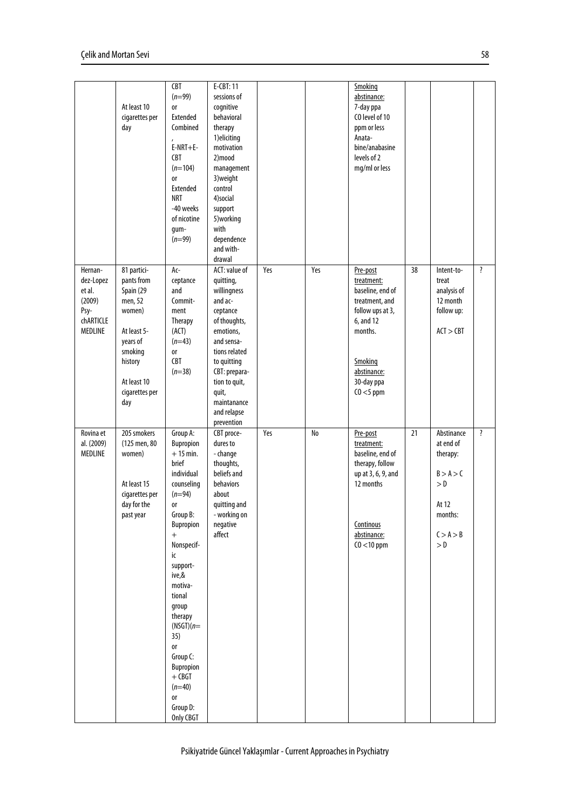|                                                                          | At least 10<br>cigarettes per<br>day                                                                                                                 | CBT<br>$(n=99)$<br><b>or</b><br>Extended<br>Combined<br>$E-NRT+E-$<br><b>CBT</b><br>$(n=104)$<br><b>or</b><br>Extended<br><b>NRT</b><br>-40 weeks<br>of nicotine<br>gum-<br>$(n=99)$                                                                                                                                                         | E-CBT: 11<br>sessions of<br>cognitive<br>behavioral<br>therapy<br>1) eliciting<br>motivation<br>2)mood<br>management<br>3) weight<br>control<br>4)social<br>support<br>5) working<br>with<br>dependence<br>and with-<br>drawal     |     |     | Smoking<br>abstinance:<br>7-day ppa<br>CO level of 10<br>ppm or less<br>Anata-<br>bine/anabasine<br>levels of 2<br>mg/ml or less                                 |    |                                                                                                 |                    |
|--------------------------------------------------------------------------|------------------------------------------------------------------------------------------------------------------------------------------------------|----------------------------------------------------------------------------------------------------------------------------------------------------------------------------------------------------------------------------------------------------------------------------------------------------------------------------------------------|------------------------------------------------------------------------------------------------------------------------------------------------------------------------------------------------------------------------------------|-----|-----|------------------------------------------------------------------------------------------------------------------------------------------------------------------|----|-------------------------------------------------------------------------------------------------|--------------------|
| Hernan-<br>dez-Lopez<br>et al.<br>(2009)<br>Psy-<br>chARTICLE<br>MEDLINE | 81 partici-<br>pants from<br>Spain (29<br>men, 52<br>women)<br>At least 5-<br>years of<br>smoking<br>history<br>At least 10<br>cigarettes per<br>day | Ac-<br>ceptance<br>and<br>Commit-<br>ment<br>Therapy<br>(ACT)<br>$(n=43)$<br><b>or</b><br><b>CBT</b><br>$(n=38)$                                                                                                                                                                                                                             | ACT: value of<br>quitting,<br>willingness<br>and ac-<br>ceptance<br>of thoughts,<br>emotions.<br>and sensa-<br>tions related<br>to quitting<br>CBT: prepara-<br>tion to quit,<br>quit,<br>maintanance<br>and relapse<br>prevention | Yes | Yes | Pre-post<br>treatment:<br>baseline, end of<br>treatment, and<br>follow ups at 3,<br>6, and 12<br>months.<br>Smoking<br>abstinance:<br>30-day ppa<br>$CO < 5$ ppm | 38 | Intent-to-<br>treat<br>analysis of<br>12 month<br>follow up:<br>ACT > CBT                       | ?                  |
| Rovina et<br>al. (2009)<br><b>MEDLINE</b>                                | 205 smokers<br>(125 men, 80<br>women)<br>At least 15<br>cigarettes per<br>day for the<br>past year                                                   | Group A:<br>Bupropion<br>$+15$ min.<br>brief<br>individual<br>counseling<br>$(n=94)$<br><b>or</b><br>Group B:<br>Bupropion<br>$\ddot{}$<br>Nonspecif-<br>ic<br>support-<br>ive,&<br>motiva-<br>tional<br>group<br>therapy<br>$(NSGT)(n=$<br>35)<br>0r<br>Group C:<br>Bupropion<br>$+$ CBGT<br>$(n=40)$<br><b>or</b><br>Group D:<br>Only CBGT | CBT proce-<br>dures to<br>- change<br>thoughts,<br>beliefs and<br>behaviors<br>about<br>quitting and<br>- working on<br>negative<br>affect                                                                                         | Yes | No  | Pre-post<br>treatment:<br>baseline, end of<br>therapy, follow<br>up at 3, 6, 9, and<br>12 months<br>Continous<br>abstinance:<br>$CO < 10$ ppm                    | 21 | Abstinance<br>at end of<br>therapy:<br>B > A > C<br>> 0<br>At 12<br>months:<br>C > A > B<br>> 0 | $\overline{\cdot}$ |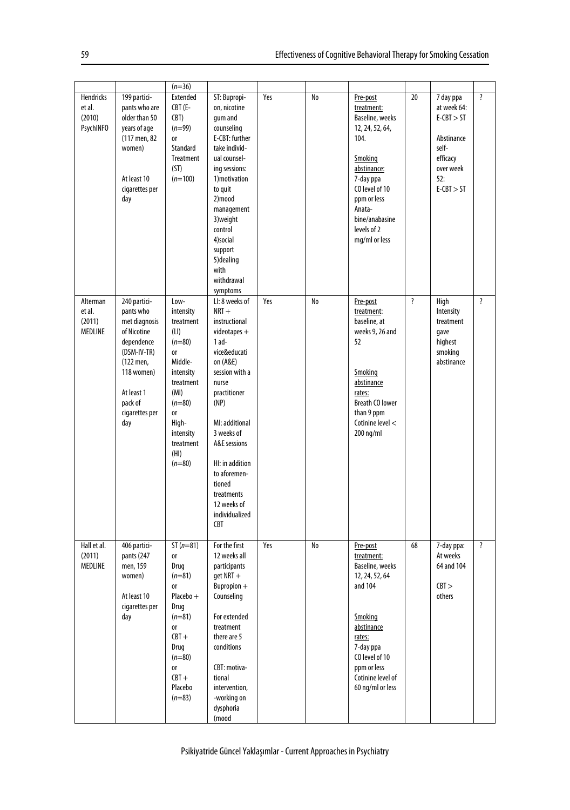|                                                   |                                                                                                                                                                     | $(n=36)$                                                                                                                                                                                     |                                                                                                                                                                                                                                                                                                                   |     |    |                                                                                                                                                                                                          |                    |                                                                                                                 |                         |
|---------------------------------------------------|---------------------------------------------------------------------------------------------------------------------------------------------------------------------|----------------------------------------------------------------------------------------------------------------------------------------------------------------------------------------------|-------------------------------------------------------------------------------------------------------------------------------------------------------------------------------------------------------------------------------------------------------------------------------------------------------------------|-----|----|----------------------------------------------------------------------------------------------------------------------------------------------------------------------------------------------------------|--------------------|-----------------------------------------------------------------------------------------------------------------|-------------------------|
| Hendricks<br>et al.<br>(2010)<br><b>PsychINFO</b> | 199 partici-<br>pants who are<br>older than 50<br>years of age<br>(117 men, 82<br>women)<br>At least 10<br>cigarettes per<br>day                                    | <b>Extended</b><br>$CBT$ (E-<br>CBT)<br>$(n=99)$<br><b>or</b><br>Standard<br><b>Treatment</b><br>(ST)<br>$(n=100)$                                                                           | ST: Bupropi-<br>on, nicotine<br>qum and<br>counseling<br>E-CBT: further<br>take individ-<br>ual counsel-<br>ing sessions:<br>1) motivation<br>to quit<br>2)mood<br>management<br>3) weight<br>control<br>4)social<br>support<br>5) dealing<br>with<br>withdrawal<br>symptoms                                      | Yes | No | Pre-post<br>treatment:<br>Baseline, weeks<br>12, 24, 52, 64,<br>104.<br>Smoking<br>abstinance:<br>7-day ppa<br>CO level of 10<br>ppm or less<br>Anata-<br>bine/anabasine<br>levels of 2<br>mg/ml or less | 20                 | 7 day ppa<br>at week 64:<br>$E-CBT > ST$<br>Abstinance<br>self-<br>efficacy<br>over week<br>52:<br>$E-CBT > ST$ | $\overline{\mathbf{?}}$ |
| Alterman<br>et al.<br>(2011)<br>MEDLINE           | 240 partici-<br>pants who<br>met diagnosis<br>of Nicotine<br>dependence<br>(DSM-IV-TR)<br>(122 men,<br>118 women)<br>At least 1<br>pack of<br>cigarettes per<br>day | Low-<br>intensity<br>treatment<br>(LI)<br>$(n=80)$<br><b>or</b><br>Middle-<br>intensity<br>treatment<br>(MI)<br>$(n=80)$<br><b>or</b><br>High-<br>intensity<br>treatment<br>(HI)<br>$(n=80)$ | LI: 8 weeks of<br>$NRT +$<br>instructional<br>$video tapes +$<br>$1$ ad-<br>vice&educati<br>on (A&E)<br>session with a<br>nurse<br>practitioner<br>(NP)<br>MI: additional<br>3 weeks of<br>A&E sessions<br>HI: in addition<br>to aforemen-<br>tioned<br>treatments<br>12 weeks of<br>individualized<br><b>CBT</b> | Yes | No | Pre-post<br>treatment:<br>baseline, at<br>weeks 9, 26 and<br>52<br>Smoking<br>abstinance<br>rates:<br><b>Breath CO lower</b><br>than 9 ppm<br>Cotinine level <<br>200 ng/ml                              | $\overline{\cdot}$ | High<br>Intensity<br>treatment<br>qave<br>highest<br>smoking<br>abstinance                                      | $\overline{\cdot}$      |
| Hall et al.<br>(2011)<br><b>MEDLINE</b>           | 406 partici-<br>pants (247<br>men, 159<br>women)<br>At least 10<br>cigarettes per<br>day                                                                            | $ST(n=81)$<br><b>or</b><br>Drug<br>$(n=81)$<br><b>or</b><br>Placebo +<br>Drug<br>$(n=81)$<br>or<br>$CBT +$<br>Drug<br>$(n=80)$<br><b>or</b><br>$CBT +$<br>Placebo<br>$(n=83)$                | For the first<br>12 weeks all<br>participants<br>$qet$ NRT $+$<br>$B$ upropion $+$<br>Counseling<br>For extended<br>treatment<br>there are 5<br>conditions<br>CBT: motiva-<br>tional<br>intervention,<br>-working on<br>dysphoria<br>(mood                                                                        | Yes | No | Pre-post<br>treatment:<br>Baseline, weeks<br>12, 24, 52, 64<br>and 104<br>Smoking<br>abstinance<br>rates:<br>7-day ppa<br>CO level of 10<br>ppm or less<br>Cotinine level of<br>60 ng/ml or less         | 68                 | 7-day ppa:<br>At weeks<br>64 and 104<br>CBT ><br>others                                                         | $\overline{\cdot}$      |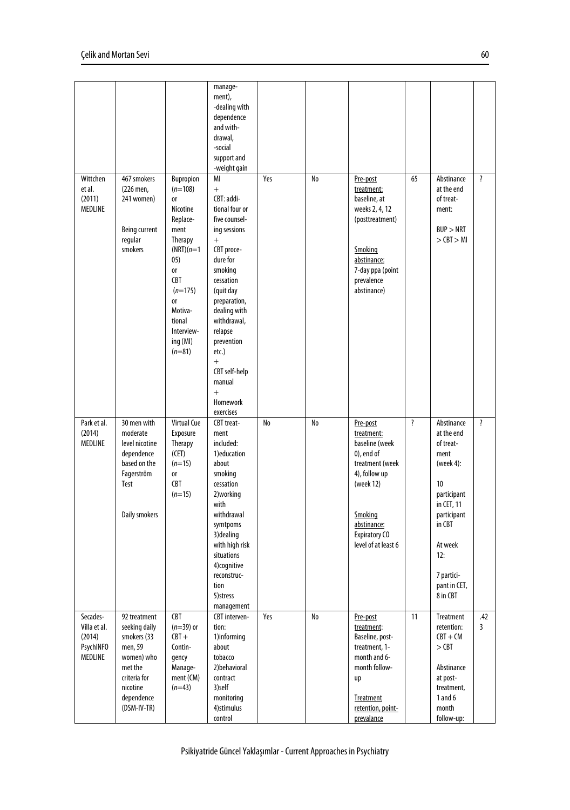|                                                                   |                                                                                                                                           |                                                                                                                                                                                                         | manage-<br>ment),<br>-dealing with<br>dependence<br>and with-<br>drawal,<br>-social<br>support and<br>-weight gain                                                                                                                                                                                  |     |    |                                                                                                                                                                                     |    |                                                                                                                                                                                    |                    |
|-------------------------------------------------------------------|-------------------------------------------------------------------------------------------------------------------------------------------|---------------------------------------------------------------------------------------------------------------------------------------------------------------------------------------------------------|-----------------------------------------------------------------------------------------------------------------------------------------------------------------------------------------------------------------------------------------------------------------------------------------------------|-----|----|-------------------------------------------------------------------------------------------------------------------------------------------------------------------------------------|----|------------------------------------------------------------------------------------------------------------------------------------------------------------------------------------|--------------------|
| Wittchen<br>et al.<br>(2011)<br>MEDLINE                           | 467 smokers<br>(226 men,<br>241 women)<br>Being current<br>regular<br>smokers                                                             | Bupropion<br>$(n=108)$<br><b>or</b><br>Nicotine<br>Replace-<br>ment<br>Therapy<br>$(NRT)(n=1)$<br>05)<br>0r<br>CBT<br>$(n=175)$<br><b>or</b><br>Motiva-<br>tional<br>Interview-<br>ing (MI)<br>$(n=81)$ | MI<br>$+$<br>CBT: addi-<br>tional four or<br>five counsel-<br>ing sessions<br>$+$<br>CBT proce-<br>dure for<br>smoking<br>cessation<br>(quit day<br>preparation,<br>dealing with<br>withdrawal,<br>relapse<br>prevention<br>etc.)<br>$+$<br>CBT self-help<br>manual<br>$+$<br>Homework<br>exercises | Yes | No | Pre-post<br>treatment:<br>baseline, at<br>weeks 2, 4, 12<br>(posttreatment)<br>Smoking<br>abstinance:<br>7-day ppa (point<br>prevalence<br>abstinance)                              | 65 | Abstinance<br>at the end<br>of treat-<br>ment:<br>BUP > NRT<br>$>$ CBT $>$ MI                                                                                                      | $\overline{\cdot}$ |
| Park et al.<br>(2014)<br>MEDLINE                                  | 30 men with<br>moderate<br>level nicotine<br>dependence<br>based on the<br>Fagerström<br>Test<br>Daily smokers                            | <b>Virtual Cue</b><br>Exposure<br>Therapy<br>(CET)<br>$(n=15)$<br><b>or</b><br>CBT<br>$(n=15)$                                                                                                          | CBT treat-<br>ment<br>included:<br>1) education<br>about<br>smoking<br>cessation<br>2) working<br>with<br>withdrawal<br>symtpoms<br>3) dealing<br>with high risk<br>situations<br>4)cognitive<br>reconstruc-<br>tion<br>5) stress<br>management                                                     | No  | No | Pre-post<br>treatment:<br>baseline (week<br>$0$ ), end of<br>treatment (week<br>4), follow up<br>(week 12)<br>Smoking<br>abstinance:<br><b>Expiratory CO</b><br>level of at least 6 | ?  | Abstinance<br>at the end<br>of treat-<br>ment<br>(week 4):<br>10<br>participant<br>in CET, 11<br>participant<br>in CBT<br>At week<br>12:<br>7 partici-<br>pant in CET,<br>8 in CBT | $\overline{\cdot}$ |
| Secades-<br>Villa et al.<br>(2014)<br><b>PsychINFO</b><br>MEDLINE | 92 treatment<br>seeking daily<br>smokers (33<br>men, 59<br>women) who<br>met the<br>criteria for<br>nicotine<br>dependence<br>(DSM-IV-TR) | <b>CBT</b><br>$(n=39)$ or<br>$CBT +$<br>Contin-<br>qency<br>Manage-<br>ment (CM)<br>$(n=43)$                                                                                                            | CBT interven-<br>tion:<br>1)informing<br>about<br>tobacco<br>2) behavioral<br>contract<br>3)self<br>monitoring<br>4) stimulus<br>control                                                                                                                                                            | Yes | No | Pre-post<br>treatment:<br>Baseline, post-<br>treatment, 1-<br>month and 6-<br>month follow-<br>up<br>Treatment<br>retention, point-<br>prevalance                                   | 11 | <b>Treatment</b><br>retention:<br>$CBT + CM$<br>$>$ CBT<br>Abstinance<br>at post-<br>treatment,<br>1 and $6$<br>month<br>follow-up:                                                | .42<br>3           |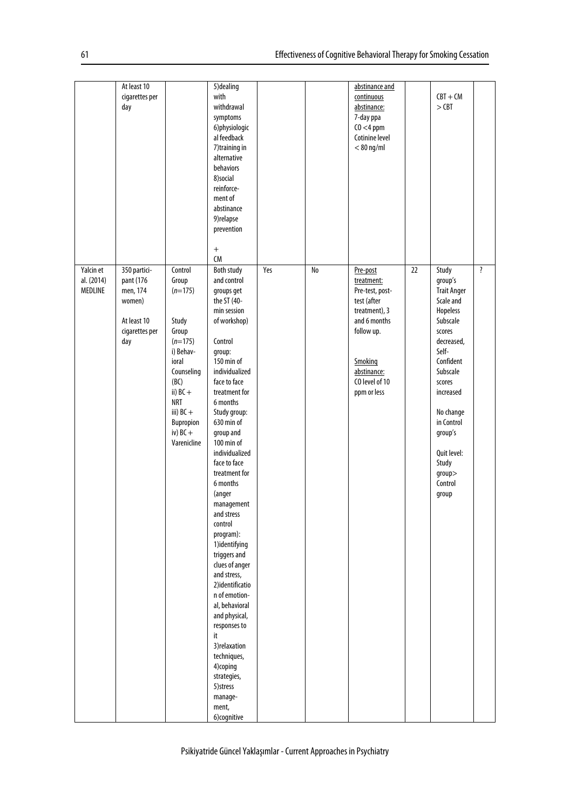|                                    | At least 10<br>cigarettes per<br>day                                                    |                                                                                                                                                                                               | 5) dealing<br>with<br>withdrawal<br>symptoms<br>6) physiologic<br>al feedback<br>7) training in<br>alternative<br>behaviors<br>8)social<br>reinforce-<br>ment of<br>abstinance<br>9) relapse<br>prevention<br>$\qquad \qquad +$<br>CM                                                                                                                                                                                                                                                                                                                                                                                                                   |     |    | abstinance and<br>continuous<br>abstinance:<br>7-day ppa<br>$CO < 4$ ppm<br>Cotinine level<br>$< 80$ ng/ml                                                         |    | $CBT + CM$<br>$>$ CBT                                                                                                                                                                                                                                   |   |
|------------------------------------|-----------------------------------------------------------------------------------------|-----------------------------------------------------------------------------------------------------------------------------------------------------------------------------------------------|---------------------------------------------------------------------------------------------------------------------------------------------------------------------------------------------------------------------------------------------------------------------------------------------------------------------------------------------------------------------------------------------------------------------------------------------------------------------------------------------------------------------------------------------------------------------------------------------------------------------------------------------------------|-----|----|--------------------------------------------------------------------------------------------------------------------------------------------------------------------|----|---------------------------------------------------------------------------------------------------------------------------------------------------------------------------------------------------------------------------------------------------------|---|
| Yalcin et<br>al. (2014)<br>MEDLINE | 350 partici-<br>pant (176<br>men, 174<br>women)<br>At least 10<br>cigarettes per<br>day | Control<br>Group<br>$(n=175)$<br>Study<br>Group<br>$(n=175)$<br>i) Behav-<br>ioral<br>Counseling<br>(BC)<br>ii) $BC +$<br><b>NRT</b><br>iii) $BC +$<br>Bupropion<br>iv) $BC +$<br>Varenicline | Both study<br>and control<br>groups get<br>the ST (40-<br>min session<br>of workshop)<br>Control<br>group:<br>150 min of<br>individualized<br>face to face<br>treatment for<br>6 months<br>Study group:<br>630 min of<br>group and<br>100 min of<br>individualized<br>face to face<br>treatment for<br>6 months<br>(anger<br>management<br>and stress<br>control<br>program):<br>1)identifying<br>triggers and<br>clues of anger<br>and stress,<br>2)identificatio<br>n of emotion-<br>al, behavioral<br>and physical,<br>responses to<br>it<br>3) relaxation<br>techniques,<br>4)coping<br>strategies,<br>5) stress<br>manage-<br>ment,<br>6)cognitive | Yes | No | Pre-post<br>treatment:<br>Pre-test, post-<br>test (after<br>treatment), 3<br>and 6 months<br>follow up.<br>Smoking<br>abstinance:<br>CO level of 10<br>ppm or less | 22 | Study<br>group's<br><b>Trait Anger</b><br>Scale and<br>Hopeless<br>Subscale<br>scores<br>decreased,<br>Self-<br>Confident<br>Subscale<br>scores<br>increased<br>No change<br>in Control<br>group's<br>Quit level:<br>Study<br>group<br>Control<br>group | ? |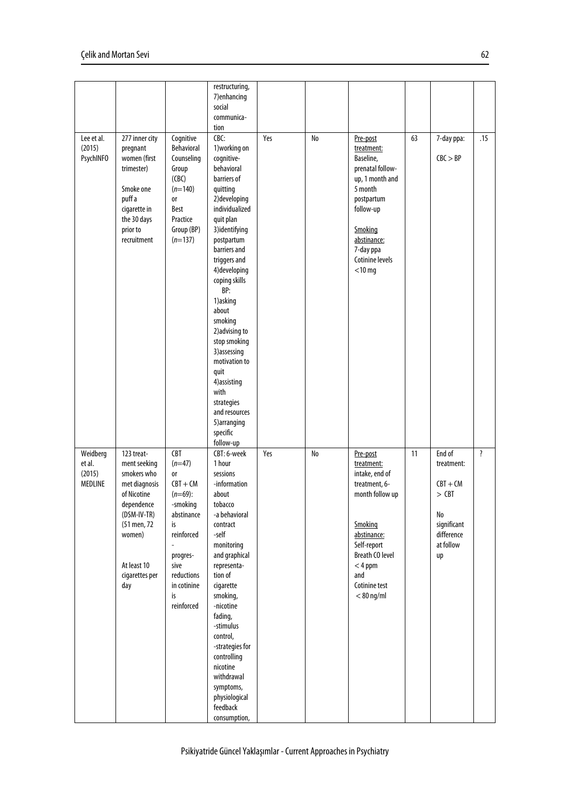|                                          |                                                                                                                                                                         |                                                                                                                                                                             | restructuring,<br>7) enhancing<br>social<br>communica-<br>tion                                                                                                                                                                                                                                                                                                                                                                                   |     |    |                                                                                                                                                                                                      |    |                                                                                                     |                         |
|------------------------------------------|-------------------------------------------------------------------------------------------------------------------------------------------------------------------------|-----------------------------------------------------------------------------------------------------------------------------------------------------------------------------|--------------------------------------------------------------------------------------------------------------------------------------------------------------------------------------------------------------------------------------------------------------------------------------------------------------------------------------------------------------------------------------------------------------------------------------------------|-----|----|------------------------------------------------------------------------------------------------------------------------------------------------------------------------------------------------------|----|-----------------------------------------------------------------------------------------------------|-------------------------|
| Lee et al.<br>(2015)<br><b>PsychINFO</b> | 277 inner city<br>pregnant<br>women (first<br>trimester)<br>Smoke one<br>puff a<br>cigarette in<br>the 30 days<br>prior to<br>recruitment                               | Cognitive<br>Behavioral<br>Counseling<br>Group<br>(CBC)<br>$(n=140)$<br><b>or</b><br>Best<br>Practice<br>Group (BP)<br>$(n=137)$                                            | CBC:<br>1) working on<br>cognitive-<br>behavioral<br>barriers of<br>quitting<br>2) developing<br>individualized<br>quit plan<br>3)identifying<br>postpartum<br>barriers and<br>triggers and<br>4) developing<br>coping skills<br>BP:<br>1) asking<br>about<br>smoking<br>2) advising to<br>stop smoking<br>3) assessing<br>motivation to<br>quit<br>4) assisting<br>with<br>strategies<br>and resources<br>5) arranging<br>specific<br>follow-up | Yes | No | Pre-post<br>treatment:<br>Baseline,<br>prenatal follow-<br>up, 1 month and<br>5 month<br>postpartum<br>follow-up<br>Smoking<br>abstinance:<br>7-day ppa<br>Cotinine levels<br>$<$ 10 mg              | 63 | 7-day ppa:<br>CBC > BP                                                                              | .15                     |
| Weidberg<br>et al.<br>(2015)<br>MEDLINE  | 123 treat-<br>ment seeking<br>smokers who<br>met diagnosis<br>of Nicotine<br>dependence<br>(DSM-IV-TR)<br>(51 men, 72<br>women)<br>At least 10<br>cigarettes per<br>day | CBT<br>$(n=47)$<br><b>or</b><br>$CBT + CM$<br>$(n=69)$ :<br>-smoking<br>abstinance<br>is<br>reinforced<br>progres-<br>sive<br>reductions<br>in cotinine<br>is<br>reinforced | CBT: 6-week<br>1 hour<br>sessions<br>-information<br>about<br>tobacco<br>-a behavioral<br>contract<br>-self<br>monitoring<br>and graphical<br>representa-<br>tion of<br>cigarette<br>smoking,<br>-nicotine<br>fading,<br>-stimulus<br>control,<br>-strategies for<br>controlling<br>nicotine<br>withdrawal<br>symptoms,<br>physiological<br>feedback<br>consumption,                                                                             | Yes | No | Pre-post<br>treatment:<br>intake, end of<br>treatment, 6-<br>month follow up<br>Smoking<br>abstinance:<br>Self-report<br><b>Breath CO level</b><br>$< 4$ ppm<br>and<br>Cotinine test<br>$< 80$ ng/ml | 11 | End of<br>treatment:<br>$CBT + CM$<br>$>$ CBT<br>No<br>significant<br>difference<br>at follow<br>up | $\overline{\mathbf{?}}$ |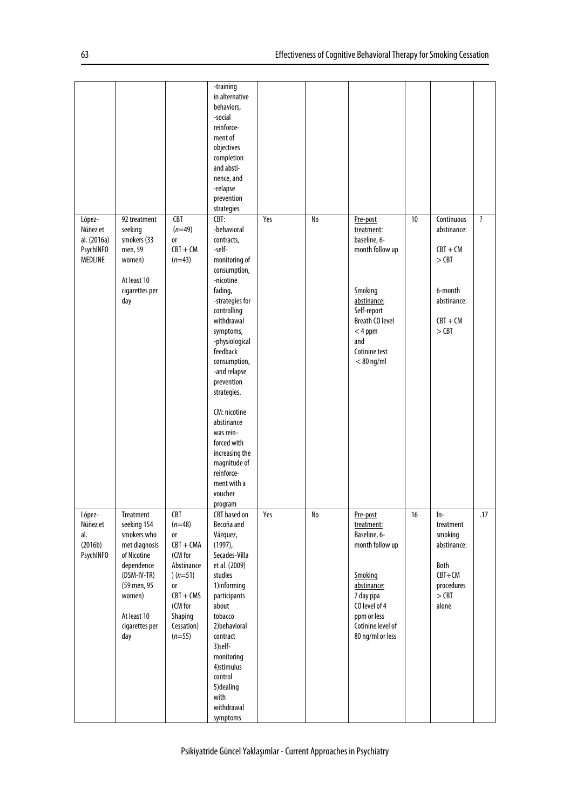|                                                                  |                                                                                                                                                                       |                                                                                                                                                                         | -training<br>in alternative<br>behaviors,<br>-social<br>reinforce-<br>ment of<br>objectives<br>completion<br>and absti-<br>nence, and<br>-relapse<br>prevention<br>strategies                                                                                                                                                                                                                               |     |    |                                                                                                                                                                                   |    |                                                                                                       |                    |
|------------------------------------------------------------------|-----------------------------------------------------------------------------------------------------------------------------------------------------------------------|-------------------------------------------------------------------------------------------------------------------------------------------------------------------------|-------------------------------------------------------------------------------------------------------------------------------------------------------------------------------------------------------------------------------------------------------------------------------------------------------------------------------------------------------------------------------------------------------------|-----|----|-----------------------------------------------------------------------------------------------------------------------------------------------------------------------------------|----|-------------------------------------------------------------------------------------------------------|--------------------|
| López-<br>Núñez et<br>al. (2016a)<br><b>PsychINFO</b><br>MEDLINE | 92 treatment<br>seeking<br>smokers (33<br>men, 59<br>women)<br>At least 10<br>cigarettes per<br>day                                                                   | CBT<br>$(n=49)$<br><b>or</b><br>$CBT + CM$<br>$(n=43)$                                                                                                                  | CBT:<br>-behavioral<br>contracts,<br>-self-<br>monitoring of<br>consumption,<br>-nicotine<br>fading,<br>-strategies for<br>controlling<br>withdrawal<br>symptoms,<br>-physiological<br>feedback<br>consumption,<br>-and relapse<br>prevention<br>strategies.<br>CM: nicotine<br>abstinance<br>was rein-<br>forced with<br>increasing the<br>magnitude of<br>reinforce-<br>ment with a<br>voucher<br>program | Yes | No | Pre-post<br>treatment:<br>baseline, 6-<br>month follow up<br>Smoking<br>abstinance:<br>Self-report<br><b>Breath CO level</b><br>$<$ 4 ppm<br>and<br>Cotinine test<br>$< 80$ ng/ml | 10 | Continuous<br>abstinance:<br>$CBT + CM$<br>$>$ CBT<br>6-month<br>abstinance:<br>$CBT + CM$<br>$>$ CBT | $\overline{\cdot}$ |
| López-<br>Núñez et<br>al.<br>(2016b)<br><b>PsychINFO</b>         | Treatment<br>seeking 154<br>smokers who<br>met diagnosis<br>of Nicotine<br>dependence<br>(DSM-IV-TR)<br>(59 men, 95<br>women)<br>At least 10<br>cigarettes per<br>day | <b>CBT</b><br>$(n=48)$<br><sub>or</sub><br>$CBT + CMA$<br>(CM for<br>Abstinance<br>$(n=51)$<br><b>or</b><br>$CBT + CMS$<br>(CM for<br>Shaping<br>Cessation)<br>$(n=55)$ | <b>CBT</b> based on<br>Becoña and<br>Vázquez,<br>$(1997)$ ,<br>Secades-Villa<br>et al. (2009)<br>studies<br>1)informing<br>participants<br>about<br>tobacco<br>2) behavioral<br>contract<br>3)self-<br>monitoring<br>4) stimulus<br>control<br>5) dealing<br>with<br>withdrawal<br>symptoms                                                                                                                 | Yes | No | Pre-post<br>treatment:<br>Baseline, 6-<br>month follow up<br>Smoking<br>abstinance:<br>7 day ppa<br>CO level of 4<br>ppm or less<br>Cotinine level of<br>80 ng/ml or less         | 16 | $ln-$<br>treatment<br>smoking<br>abstinance:<br>Both<br>$CBT+CM$<br>procedures<br>$>$ CBT<br>alone    | .17                |

Psikiyatride Güncel Yaklaşımlar - Current Approaches in Psychiatry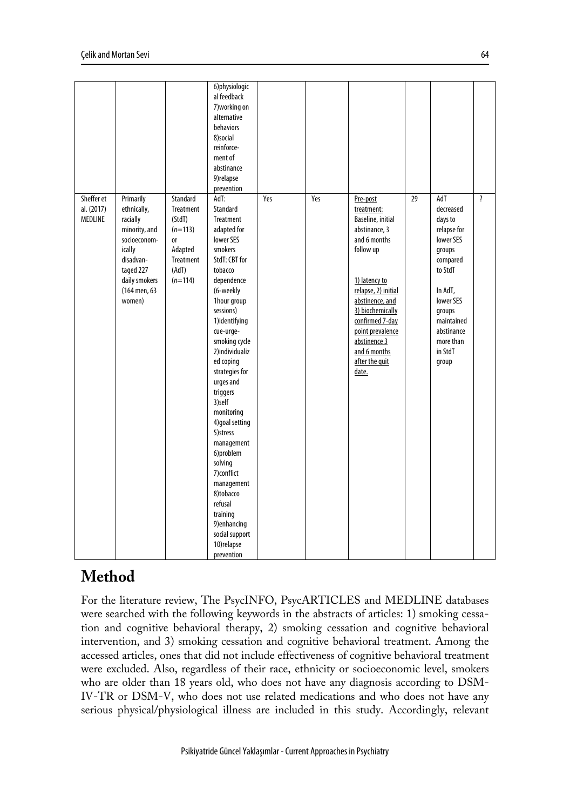|                                     |                                                                                                                                                      |                                                                                                         | 6)physiologic<br>al feedback<br>7) working on<br>alternative<br><b>behaviors</b><br>8)social<br>reinforce-<br>ment of<br>abstinance<br>9) relapse<br>prevention                                                                                                                                                                                                                                                                                                                                                              |     |     |                                                                                                                                                                                                                                                                            |    |                                                                                                                                                                                                |                         |
|-------------------------------------|------------------------------------------------------------------------------------------------------------------------------------------------------|---------------------------------------------------------------------------------------------------------|------------------------------------------------------------------------------------------------------------------------------------------------------------------------------------------------------------------------------------------------------------------------------------------------------------------------------------------------------------------------------------------------------------------------------------------------------------------------------------------------------------------------------|-----|-----|----------------------------------------------------------------------------------------------------------------------------------------------------------------------------------------------------------------------------------------------------------------------------|----|------------------------------------------------------------------------------------------------------------------------------------------------------------------------------------------------|-------------------------|
| Sheffer et<br>al. (2017)<br>MEDLINE | Primarily<br>ethnically,<br>racially<br>minority, and<br>socioeconom-<br>ically<br>disadvan-<br>taged 227<br>daily smokers<br>(164 men, 63<br>women) | Standard<br>Treatment<br>(StdT)<br>$(n=113)$<br><b>or</b><br>Adapted<br>Treatment<br>(AdT)<br>$(n=114)$ | AdT:<br>Standard<br><b>Treatment</b><br>adapted for<br><b>lower SES</b><br>smokers<br>StdT: CBT for<br>tobacco<br>dependence<br>(6-weekly<br>1hour group<br>sessions)<br>1)identifying<br>cue-urge-<br>smoking cycle<br>2)individualiz<br>ed coping<br>strategies for<br>urges and<br>triggers<br>3)self<br>monitoring<br>4) goal setting<br>5) stress<br>management<br>6)problem<br>solving<br>7) conflict<br>management<br>8)tobacco<br>refusal<br>training<br>9) enhancing<br>social support<br>10) relapse<br>prevention | Yes | Yes | Pre-post<br>treatment:<br>Baseline, initial<br>abstinance, 3<br>and 6 months<br>follow up<br>1) latency to<br>relapse, 2) initial<br>abstinence, and<br>3) biochemically<br>confirmed 7-day<br>point prevalence<br>abstinence 3<br>and 6 months<br>after the quit<br>date. | 29 | AdT<br>decreased<br>days to<br>relapse for<br><b>lower SES</b><br>groups<br>compared<br>to StdT<br>In AdT,<br>lower SES<br>groups<br>maintained<br>abstinance<br>more than<br>in StdT<br>group | $\overline{\mathbf{?}}$ |

# **Method**

For the literature review, The PsycINFO, PsycARTICLES and MEDLINE databases were searched with the following keywords in the abstracts of articles: 1) smoking cessation and cognitive behavioral therapy, 2) smoking cessation and cognitive behavioral intervention, and 3) smoking cessation and cognitive behavioral treatment. Among the accessed articles, ones that did not include effectiveness of cognitive behavioral treatment were excluded. Also, regardless of their race, ethnicity or socioeconomic level, smokers who are older than 18 years old, who does not have any diagnosis according to DSM-IV-TR or DSM-V, who does not use related medications and who does not have any serious physical/physiological illness are included in this study. Accordingly, relevant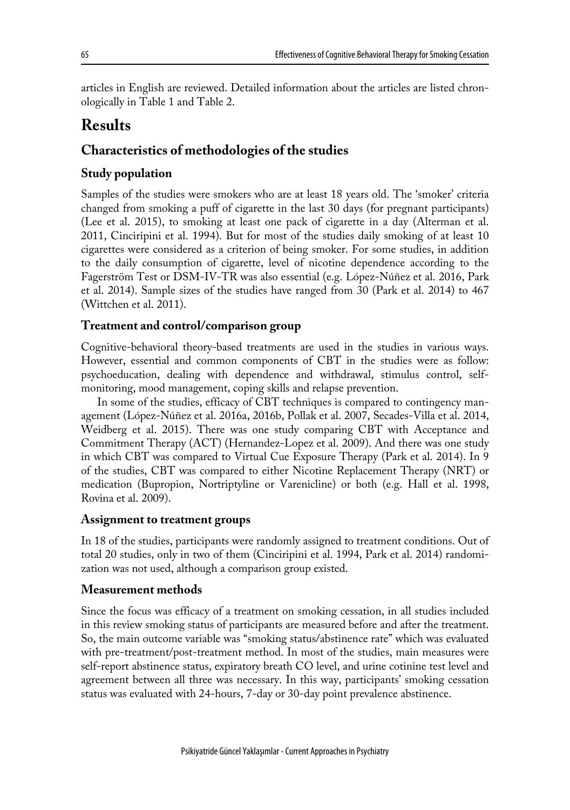articles in English are reviewed. Detailed information about the articles are listed chronologically in Table 1 and Table 2.

# **Results**

# **Characteristics of methodologies of the studies**

### **Study population**

Samples of the studies were smokers who are at least 18 years old. The 'smoker' criteria changed from smoking a puff of cigarette in the last 30 days (for pregnant participants) (Lee et al. 2015), to smoking at least one pack of cigarette in a day (Alterman et al. 2011, Cinciripini et al. 1994). But for most of the studies daily smoking of at least 10 cigarettes were considered as a criterion of being smoker. For some studies, in addition to the daily consumption of cigarette, level of nicotine dependence according to the Fagerström Test or DSM-IV-TR was also essential (e.g. López-Núñez et al. 2016, Park et al. 2014). Sample sizes of the studies have ranged from 30 (Park et al. 2014) to 467 (Wittchen et al. 2011).

#### **Treatment and control/comparison group**

Cognitive-behavioral theory-based treatments are used in the studies in various ways. However, essential and common components of CBT in the studies were as follow: psychoeducation, dealing with dependence and withdrawal, stimulus control, selfmonitoring, mood management, coping skills and relapse prevention.

In some of the studies, efficacy of CBT techniques is compared to contingency management (López-Núñez et al. 2016a, 2016b, Pollak et al. 2007, Secades-Villa et al. 2014, Weidberg et al. 2015). There was one study comparing CBT with Acceptance and Commitment Therapy (ACT) (Hernandez-Lopez et al. 2009). And there was one study in which CBT was compared to Virtual Cue Exposure Therapy (Park et al. 2014). In 9 of the studies, CBT was compared to either Nicotine Replacement Therapy (NRT) or medication (Bupropion, Nortriptyline or Varenicline) or both (e.g. Hall et al. 1998, Rovina et al. 2009).

#### **Assignment to treatment groups**

In 18 of the studies, participants were randomly assigned to treatment conditions. Out of total 20 studies, only in two of them (Cinciripini et al. 1994, Park et al. 2014) randomization was not used, although a comparison group existed.

#### **Measurement methods**

Since the focus was efficacy of a treatment on smoking cessation, in all studies included in this review smoking status of participants are measured before and after the treatment. So, the main outcome variable was "smoking status/abstinence rate" which was evaluated with pre-treatment/post-treatment method. In most of the studies, main measures were self-report abstinence status, expiratory breath CO level, and urine cotinine test level and agreement between all three was necessary. In this way, participants' smoking cessation status was evaluated with 24-hours, 7-day or 30-day point prevalence abstinence.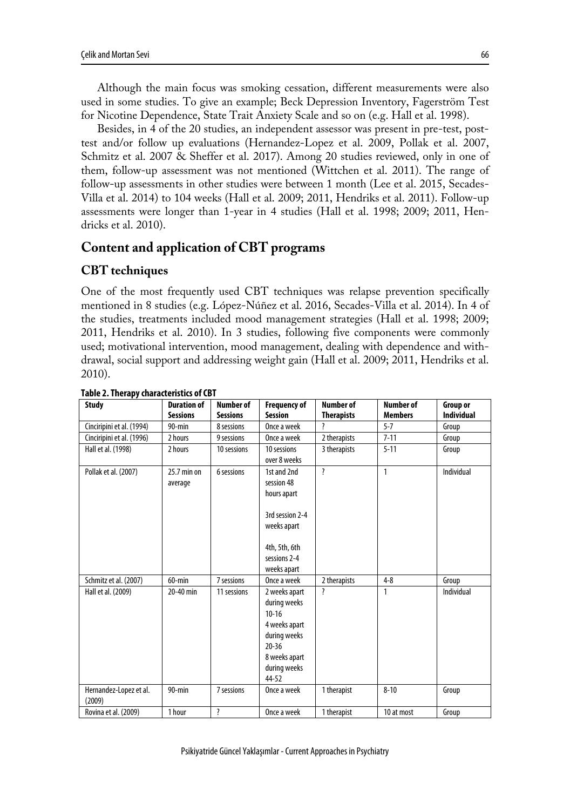Although the main focus was smoking cessation, different measurements were also used in some studies. To give an example; Beck Depression Inventory, Fagerström Test for Nicotine Dependence, State Trait Anxiety Scale and so on (e.g. Hall et al. 1998).

Besides, in 4 of the 20 studies, an independent assessor was present in pre-test, posttest and/or follow up evaluations (Hernandez-Lopez et al. 2009, Pollak et al. 2007, Schmitz et al. 2007 & Sheffer et al. 2017). Among 20 studies reviewed, only in one of them, follow-up assessment was not mentioned (Wittchen et al. 2011). The range of follow-up assessments in other studies were between 1 month (Lee et al. 2015, Secades-Villa et al. 2014) to 104 weeks (Hall et al. 2009; 2011, Hendriks et al. 2011). Follow-up assessments were longer than 1-year in 4 studies (Hall et al. 1998; 2009; 2011, Hendricks et al. 2010).

## **Content and application of CBT programs**

### **CBT techniques**

One of the most frequently used CBT techniques was relapse prevention specifically mentioned in 8 studies (e.g. López-Núñez et al. 2016, Secades-Villa et al. 2014). In 4 of the studies, treatments included mood management strategies (Hall et al. 1998; 2009; 2011, Hendriks et al. 2010). In 3 studies, following five components were commonly used; motivational intervention, mood management, dealing with dependence and withdrawal, social support and addressing weight gain (Hall et al. 2009; 2011, Hendriks et al. 2010).

| <b>Study</b>                     | <b>Duration of</b> | Number of          | <b>Frequency of</b> | Number of               | <b>Number of</b> | <b>Group or</b>   |
|----------------------------------|--------------------|--------------------|---------------------|-------------------------|------------------|-------------------|
|                                  | <b>Sessions</b>    | <b>Sessions</b>    | <b>Session</b>      | <b>Therapists</b>       | <b>Members</b>   | <b>Individual</b> |
| Cinciripini et al. (1994)        | $90 - min$         | 8 sessions         | Once a week         | 7                       | $5 - 7$          | Group             |
| Cinciripini et al. (1996)        | 2 hours            | 9 sessions         | Once a week         | 2 therapists            | $7 - 11$         | Group             |
| Hall et al. (1998)               | 2 hours            | 10 sessions        | 10 sessions         | 3 therapists            | $5 - 11$         | Group             |
|                                  |                    |                    | over 8 weeks        |                         |                  |                   |
| Pollak et al. (2007)             | $25.7$ min on      | 6 sessions         | 1st and 2nd         | $\overline{\mathbf{?}}$ | $\mathbf{1}$     | Individual        |
|                                  | average            |                    | session 48          |                         |                  |                   |
|                                  |                    |                    | hours apart         |                         |                  |                   |
|                                  |                    |                    |                     |                         |                  |                   |
|                                  |                    |                    | 3rd session 2-4     |                         |                  |                   |
|                                  |                    |                    | weeks apart         |                         |                  |                   |
|                                  |                    |                    | 4th, 5th, 6th       |                         |                  |                   |
|                                  |                    |                    | sessions 2-4        |                         |                  |                   |
|                                  |                    |                    | weeks apart         |                         |                  |                   |
| Schmitz et al. (2007)            | $60$ -min          | 7 sessions         | Once a week         | 2 therapists            | $4 - 8$          | Group             |
| Hall et al. (2009)               | 20-40 min          | 11 sessions        | 2 weeks apart       | ŗ                       | 1                | Individual        |
|                                  |                    |                    | during weeks        |                         |                  |                   |
|                                  |                    |                    | $10 - 16$           |                         |                  |                   |
|                                  |                    |                    | 4 weeks apart       |                         |                  |                   |
|                                  |                    |                    | during weeks        |                         |                  |                   |
|                                  |                    |                    | $20 - 36$           |                         |                  |                   |
|                                  |                    |                    | 8 weeks apart       |                         |                  |                   |
|                                  |                    |                    | during weeks        |                         |                  |                   |
|                                  |                    |                    | 44-52               |                         |                  |                   |
| Hernandez-Lopez et al.<br>(2009) | $90 - min$         | 7 sessions         | Once a week         | 1 therapist             | $8 - 10$         | Group             |
| Rovina et al. (2009)             | 1 hour             | $\overline{\cdot}$ | Once a week         | 1 therapist             | 10 at most       | Group             |

#### **Table 2. Therapy characteristics of CBT**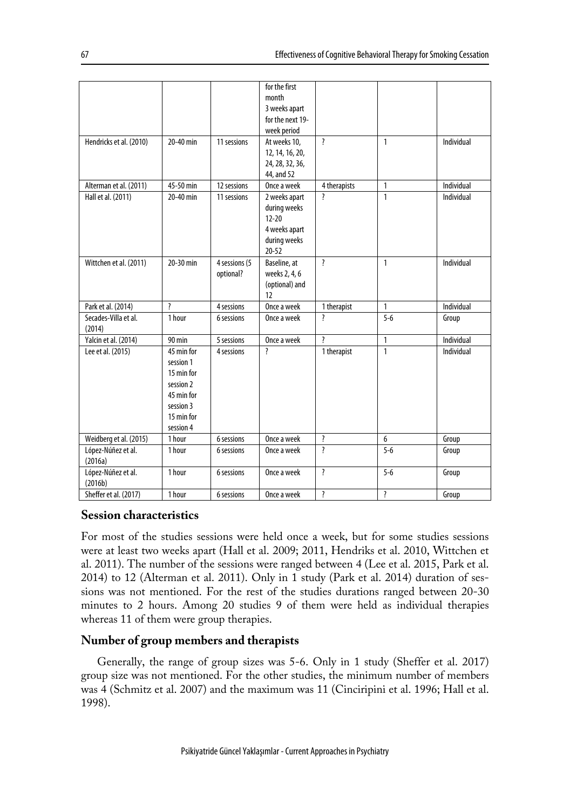|                         |                       |               | for the first           |                          |                         |            |
|-------------------------|-----------------------|---------------|-------------------------|--------------------------|-------------------------|------------|
|                         |                       |               | month                   |                          |                         |            |
|                         |                       |               | 3 weeks apart           |                          |                         |            |
|                         |                       |               | for the next 19-        |                          |                         |            |
|                         |                       |               | week period             |                          |                         |            |
| Hendricks et al. (2010) | 20-40 min             | 11 sessions   | At weeks 10,            | $\overline{\cdot}$       | $\mathbf{1}$            | Individual |
|                         |                       |               | 12, 14, 16, 20,         |                          |                         |            |
|                         |                       |               | 24, 28, 32, 36,         |                          |                         |            |
|                         |                       |               | 44, and 52              |                          |                         |            |
| Alterman et al. (2011)  | 45-50 min             | 12 sessions   | Once a week             | 4 therapists             | $\mathbf{1}$            | Individual |
| Hall et al. (2011)      | 20-40 min             | 11 sessions   | 2 weeks apart           | $\overline{\mathbf{z}}$  | $\mathbf{1}$            | Individual |
|                         |                       |               | during weeks            |                          |                         |            |
|                         |                       |               | $12 - 20$               |                          |                         |            |
|                         |                       |               | 4 weeks apart           |                          |                         |            |
|                         |                       |               | during weeks            |                          |                         |            |
|                         |                       |               | $20 - 52$               |                          |                         |            |
|                         | 20-30 min             |               |                         |                          |                         | Individual |
| Wittchen et al. (2011)  |                       | 4 sessions (5 | Baseline, at            | $\overline{\cdot}$       | $\mathbf{1}$            |            |
|                         |                       | optional?     | weeks 2, 4, 6           |                          |                         |            |
|                         |                       |               | (optional) and          |                          |                         |            |
|                         |                       |               | 12                      |                          |                         |            |
| Park et al. (2014)      | $\boldsymbol{\gamma}$ | 4 sessions    | Once a week             | 1 therapist              | $\mathbf{1}$            | Individual |
| Secades-Villa et al.    | 1 hour                | 6 sessions    | Once a week             | ?                        | $5 - 6$                 | Group      |
| (2014)                  |                       |               |                         |                          |                         |            |
| Yalcin et al. (2014)    | 90 min                | 5 sessions    | Once a week             | $\overline{\mathbf{z}}$  | $\mathbf{1}$            | Individual |
| Lee et al. (2015)       | 45 min for            | 4 sessions    | $\overline{\mathbf{?}}$ | 1 therapist              | $\mathbf{1}$            | Individual |
|                         | session 1             |               |                         |                          |                         |            |
|                         | 15 min for            |               |                         |                          |                         |            |
|                         | session 2             |               |                         |                          |                         |            |
|                         | 45 min for            |               |                         |                          |                         |            |
|                         | session 3             |               |                         |                          |                         |            |
|                         | 15 min for            |               |                         |                          |                         |            |
|                         | session 4             |               |                         |                          |                         |            |
| Weidberg et al. (2015)  | 1 hour                | 6 sessions    | Once a week             | <sup>?</sup>             | 6                       | Group      |
| López-Núñez et al.      | 1 hour                | 6 sessions    | Once a week             | ŗ                        | $5 - 6$                 | Group      |
| (2016a)                 |                       |               |                         |                          |                         |            |
| López-Núñez et al.      | 1 hour                | 6 sessions    | Once a week             | <sup>?</sup>             | $5 - 6$                 | Group      |
| (2016b)                 |                       |               |                         |                          |                         |            |
| Sheffer et al. (2017)   | 1 hour                | 6 sessions    | Once a week             | $\overline{\mathcal{L}}$ | $\overline{\mathbf{?}}$ | Group      |

#### **Session characteristics**

For most of the studies sessions were held once a week, but for some studies sessions were at least two weeks apart (Hall et al. 2009; 2011, Hendriks et al. 2010, Wittchen et al. 2011). The number of the sessions were ranged between 4 (Lee et al. 2015, Park et al. 2014) to 12 (Alterman et al. 2011). Only in 1 study (Park et al. 2014) duration of sessions was not mentioned. For the rest of the studies durations ranged between 20-30 minutes to 2 hours. Among 20 studies 9 of them were held as individual therapies whereas 11 of them were group therapies.

#### **Number of group members and therapists**

Generally, the range of group sizes was 5-6. Only in 1 study (Sheffer et al. 2017) group size was not mentioned. For the other studies, the minimum number of members was 4 (Schmitz et al. 2007) and the maximum was 11 (Cinciripini et al. 1996; Hall et al. 1998).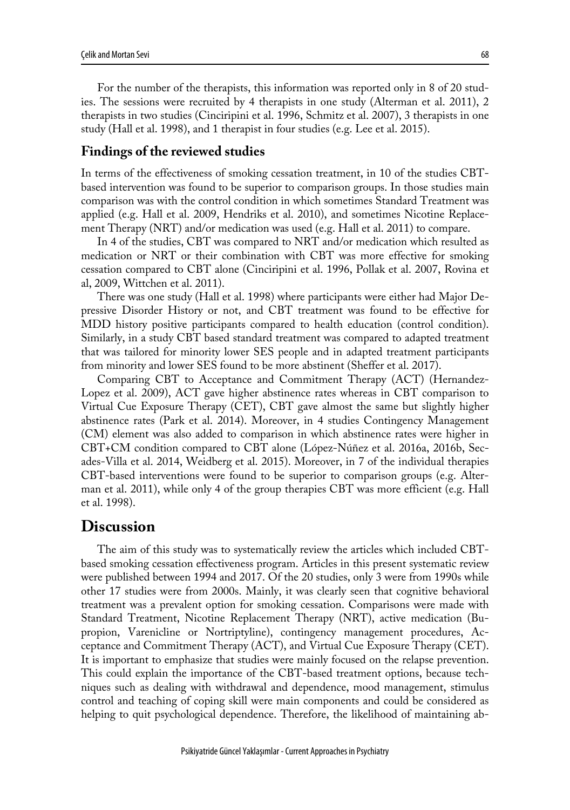For the number of the therapists, this information was reported only in 8 of 20 studies. The sessions were recruited by 4 therapists in one study (Alterman et al. 2011), 2 therapists in two studies (Cinciripini et al. 1996, Schmitz et al. 2007), 3 therapists in one study (Hall et al. 1998), and 1 therapist in four studies (e.g. Lee et al. 2015).

#### **Findings of the reviewed studies**

In terms of the effectiveness of smoking cessation treatment, in 10 of the studies CBTbased intervention was found to be superior to comparison groups. In those studies main comparison was with the control condition in which sometimes Standard Treatment was applied (e.g. Hall et al. 2009, Hendriks et al. 2010), and sometimes Nicotine Replacement Therapy (NRT) and/or medication was used (e.g. Hall et al. 2011) to compare.

In 4 of the studies, CBT was compared to NRT and/or medication which resulted as medication or NRT or their combination with CBT was more effective for smoking cessation compared to CBT alone (Cinciripini et al. 1996, Pollak et al. 2007, Rovina et al, 2009, Wittchen et al. 2011).

There was one study (Hall et al. 1998) where participants were either had Major Depressive Disorder History or not, and CBT treatment was found to be effective for MDD history positive participants compared to health education (control condition). Similarly, in a study CBT based standard treatment was compared to adapted treatment that was tailored for minority lower SES people and in adapted treatment participants from minority and lower SES found to be more abstinent (Sheffer et al. 2017).

Comparing CBT to Acceptance and Commitment Therapy (ACT) (Hernandez-Lopez et al. 2009), ACT gave higher abstinence rates whereas in CBT comparison to Virtual Cue Exposure Therapy (CET), CBT gave almost the same but slightly higher abstinence rates (Park et al. 2014). Moreover, in 4 studies Contingency Management (CM) element was also added to comparison in which abstinence rates were higher in CBT+CM condition compared to CBT alone (López-Núñez et al. 2016a, 2016b, Secades-Villa et al. 2014, Weidberg et al. 2015). Moreover, in 7 of the individual therapies CBT-based interventions were found to be superior to comparison groups (e.g. Alterman et al. 2011), while only 4 of the group therapies CBT was more efficient (e.g. Hall et al. 1998).

### **Discussion**

The aim of this study was to systematically review the articles which included CBTbased smoking cessation effectiveness program. Articles in this present systematic review were published between 1994 and 2017. Of the 20 studies, only 3 were from 1990s while other 17 studies were from 2000s. Mainly, it was clearly seen that cognitive behavioral treatment was a prevalent option for smoking cessation. Comparisons were made with Standard Treatment, Nicotine Replacement Therapy (NRT), active medication (Bupropion, Varenicline or Nortriptyline), contingency management procedures, Acceptance and Commitment Therapy (ACT), and Virtual Cue Exposure Therapy (CET). It is important to emphasize that studies were mainly focused on the relapse prevention. This could explain the importance of the CBT-based treatment options, because techniques such as dealing with withdrawal and dependence, mood management, stimulus control and teaching of coping skill were main components and could be considered as helping to quit psychological dependence. Therefore, the likelihood of maintaining ab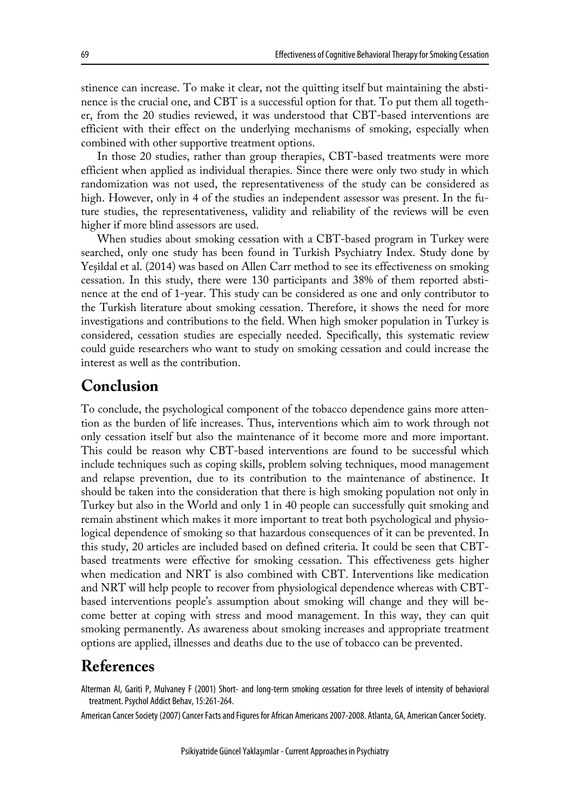stinence can increase. To make it clear, not the quitting itself but maintaining the abstinence is the crucial one, and CBT is a successful option for that. To put them all together, from the 20 studies reviewed, it was understood that CBT-based interventions are efficient with their effect on the underlying mechanisms of smoking, especially when combined with other supportive treatment options.

In those 20 studies, rather than group therapies, CBT-based treatments were more efficient when applied as individual therapies. Since there were only two study in which randomization was not used, the representativeness of the study can be considered as high. However, only in 4 of the studies an independent assessor was present. In the future studies, the representativeness, validity and reliability of the reviews will be even higher if more blind assessors are used.

When studies about smoking cessation with a CBT-based program in Turkey were searched, only one study has been found in Turkish Psychiatry Index. Study done by Yeşildal et al. (2014) was based on Allen Carr method to see its effectiveness on smoking cessation. In this study, there were 130 participants and 38% of them reported abstinence at the end of 1-year. This study can be considered as one and only contributor to the Turkish literature about smoking cessation. Therefore, it shows the need for more investigations and contributions to the field. When high smoker population in Turkey is considered, cessation studies are especially needed. Specifically, this systematic review could guide researchers who want to study on smoking cessation and could increase the interest as well as the contribution.

# **Conclusion**

To conclude, the psychological component of the tobacco dependence gains more attention as the burden of life increases. Thus, interventions which aim to work through not only cessation itself but also the maintenance of it become more and more important. This could be reason why CBT-based interventions are found to be successful which include techniques such as coping skills, problem solving techniques, mood management and relapse prevention, due to its contribution to the maintenance of abstinence. It should be taken into the consideration that there is high smoking population not only in Turkey but also in the World and only 1 in 40 people can successfully quit smoking and remain abstinent which makes it more important to treat both psychological and physiological dependence of smoking so that hazardous consequences of it can be prevented. In this study, 20 articles are included based on defined criteria. It could be seen that CBTbased treatments were effective for smoking cessation. This effectiveness gets higher when medication and NRT is also combined with CBT. Interventions like medication and NRT will help people to recover from physiological dependence whereas with CBTbased interventions people's assumption about smoking will change and they will become better at coping with stress and mood management. In this way, they can quit smoking permanently. As awareness about smoking increases and appropriate treatment options are applied, illnesses and deaths due to the use of tobacco can be prevented.

# **References**

Alterman AI, Gariti P, Mulvaney F (2001) Short- and long-term smoking cessation for three levels of intensity of behavioral treatment. Psychol Addict Behav, 15:261-264.

American Cancer Society (2007) Cancer Facts and Figures for African Americans 2007-2008. Atlanta, GA, American Cancer Society.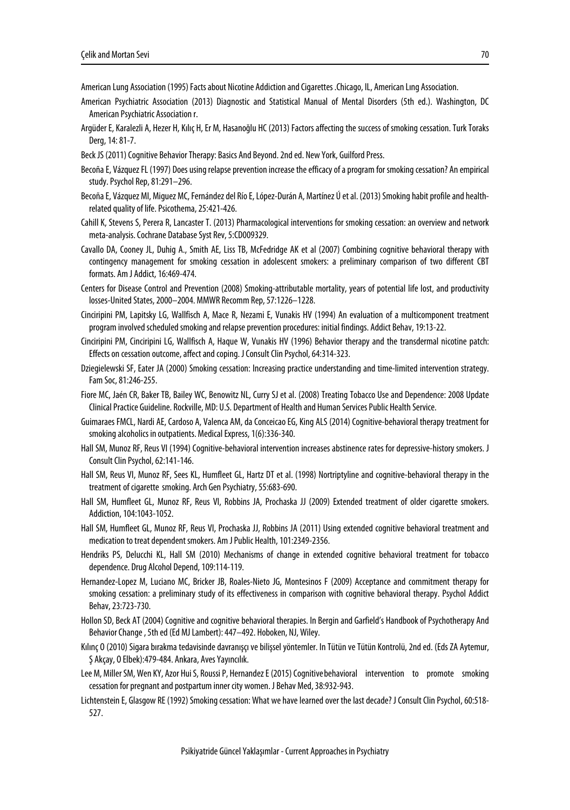American Lung Association (1995) Facts about Nicotine Addiction and Cigarettes .Chicago, IL, American Lıng Association.

- American Psychiatric Association (2013) Diagnostic and Statistical Manual of Mental Disorders (5th ed.). Washington, DC American Psychiatric Association r.
- Argüder E, Karalezli A, Hezer H, Kılıç H, Er M, Hasanoğlu HC (2013) Factors affecting the success of smoking cessation. Turk Toraks Derg, 14: 81-7.
- Beck JS (2011) Cognitive Behavior Therapy: Basics And Beyond. 2nd ed. New York, Guilford Press.
- Becoña E, Vázquez FL (1997) Does using relapse prevention increase the efficacy of a program for smoking cessation? An empirical study. Psychol Rep, 81:291–296.
- Becoña E, Vázquez MI, Miguez MC, Fernández del Río E, López-Durán A, Martínez Ú et al. (2013) Smoking habit profile and healthrelated quality of life. Psicothema, 25:421-426.
- Cahill K, Stevens S, Perera R, Lancaster T. (2013) Pharmacological interventions for smoking cessation: an overview and network meta-analysis. Cochrane Database Syst Rev, 5:CD009329.
- Cavallo DA, Cooney JL, Duhig A., Smith AE, Liss TB, McFedridge AK et al (2007) Combining cognitive behavioral therapy with contingency management for smoking cessation in adolescent smokers: a preliminary comparison of two different CBT formats. Am J Addict, 16:469-474.
- Centers for Disease Control and Prevention (2008) Smoking-attributable mortality, years of potential life lost, and productivity losses-United States, 2000–2004. MMWR Recomm Rep, 57:1226–1228.
- Cinciripini PM, Lapitsky LG, Wallfisch A, Mace R, Nezami E, Vunakis HV (1994) An evaluation of a multicomponent treatment program involved scheduled smoking and relapse prevention procedures: initial findings. Addict Behav, 19:13-22.
- Cinciripini PM, Cinciripini LG, Wallfisch A, Haque W, Vunakis HV (1996) Behavior therapy and the transdermal nicotine patch: Effects on cessation outcome, affect and coping. J Consult Clin Psychol, 64:314-323.
- Dziegielewski SF, Eater JA (2000) Smoking cessation: Increasing practice understanding and time-limited intervention strategy. Fam Soc, 81:246-255.
- Fiore MC, Jaén CR, Baker TB, Bailey WC, Benowitz NL, Curry SJ et al. (2008) Treating Tobacco Use and Dependence: 2008 Update Clinical Practice Guideline. Rockville, MD: U.S. Department of Health and Human Services Public Health Service.
- Guimaraes FMCL, Nardi AE, Cardoso A, Valenca AM, da Conceicao EG, King ALS (2014) Cognitive-behavioral therapy treatment for smoking alcoholics in outpatients. Medical Express, 1(6):336-340.
- Hall SM, Munoz RF, Reus VI (1994) Cognitive-behavioral intervention increases abstinence rates for depressive-history smokers. J Consult Clin Psychol, 62:141-146.
- Hall SM, Reus VI, Munoz RF, Sees KL, Humfleet GL, Hartz DT et al. (1998) Nortriptyline and cognitive-behavioral therapy in the treatment of cigarette smoking. Arch Gen Psychiatry, 55:683-690.
- Hall SM, Humfleet GL, Munoz RF, Reus VI, Robbins JA, Prochaska JJ (2009) Extended treatment of older cigarette smokers. Addiction, 104:1043-1052.
- Hall SM, Humfleet GL, Munoz RF, Reus VI, Prochaska JJ, Robbins JA (2011) Using extended cognitive behavioral treatment and medication to treat dependent smokers. Am J Public Health, 101:2349-2356.
- Hendriks PS, Delucchi KL, Hall SM (2010) Mechanisms of change in extended cognitive behavioral treatment for tobacco dependence. Drug Alcohol Depend, 109:114-119.
- Hernandez-Lopez M, Luciano MC, Bricker JB, Roales-Nieto JG, Montesinos F (2009) Acceptance and commitment therapy for smoking cessation: a preliminary study of its effectiveness in comparison with cognitive behavioral therapy. Psychol Addict Behav, 23:723-730.
- Hollon SD, Beck AT (2004) Cognitive and cognitive behavioral therapies. In Bergin and Garfield's Handbook of Psychotherapy And Behavior Change , 5th ed (Ed MJ Lambert): 447–492. Hoboken, NJ, Wiley.
- Kılınç O (2010) Sigara bırakma tedavisinde davranışçı ve bilişsel yöntemler. In Tütün ve Tütün Kontrolü, 2nd ed. (Eds ZA Aytemur, Ş Akçay, O Elbek):479-484. Ankara, Aves Yayıncılık.
- Lee M, Miller SM, Wen KY, Azor Hui S, Roussi P, Hernandez E (2015) Cognitivebehavioral intervention to promote smoking cessation for pregnant and postpartum inner city women. J Behav Med, 38:932-943.
- Lichtenstein E, Glasgow RE (1992) Smoking cessation: What we have learned over the last decade? J Consult Clin Psychol, 60:518- 527.